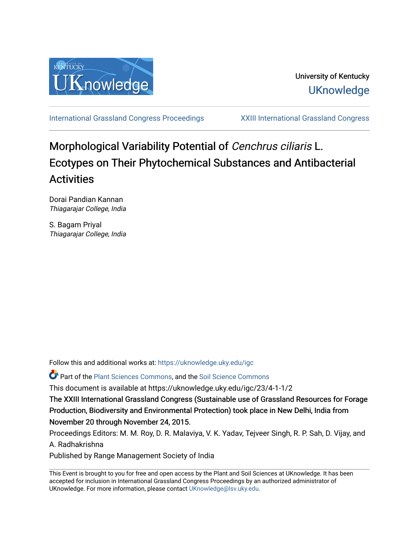

[International Grassland Congress Proceedings](https://uknowledge.uky.edu/igc) [XXIII International Grassland Congress](https://uknowledge.uky.edu/igc/23) 

# Morphological Variability Potential of Cenchrus ciliaris L. Ecotypes on Their Phytochemical Substances and Antibacterial Activities

Dorai Pandian Kannan Thiagarajar College, India

S. Bagam Priyal Thiagarajar College, India

Follow this and additional works at: [https://uknowledge.uky.edu/igc](https://uknowledge.uky.edu/igc?utm_source=uknowledge.uky.edu%2Figc%2F23%2F4-1-1%2F2&utm_medium=PDF&utm_campaign=PDFCoverPages) 

**P** Part of the [Plant Sciences Commons](http://network.bepress.com/hgg/discipline/102?utm_source=uknowledge.uky.edu%2Figc%2F23%2F4-1-1%2F2&utm_medium=PDF&utm_campaign=PDFCoverPages), and the Soil Science Commons

This document is available at https://uknowledge.uky.edu/igc/23/4-1-1/2

The XXIII International Grassland Congress (Sustainable use of Grassland Resources for Forage Production, Biodiversity and Environmental Protection) took place in New Delhi, India from November 20 through November 24, 2015.

Proceedings Editors: M. M. Roy, D. R. Malaviya, V. K. Yadav, Tejveer Singh, R. P. Sah, D. Vijay, and A. Radhakrishna

Published by Range Management Society of India

This Event is brought to you for free and open access by the Plant and Soil Sciences at UKnowledge. It has been accepted for inclusion in International Grassland Congress Proceedings by an authorized administrator of UKnowledge. For more information, please contact [UKnowledge@lsv.uky.edu](mailto:UKnowledge@lsv.uky.edu).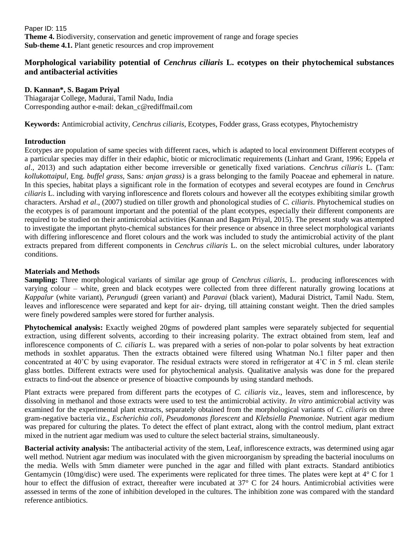Paper ID: 115 **Theme 4.** Biodiversity, conservation and genetic improvement of range and forage species **Sub-theme 4.1.** Plant genetic resources and crop improvement

# **Morphological variability potential of** *Cenchrus ciliaris* **L. ecotypes on their phytochemical substances and antibacterial activities**

## **D. Kannan\*, S. Bagam Priyal**

Thiagarajar College, Madurai, Tamil Nadu, India Corresponding author e-mail: [dekan\\_c@rediffmail.com](mailto:dekan_c@rediffmail.com)

**Keywords:** Antimicrobial activity, *Cenchrus ciliaris*, Ecotypes, Fodder grass, Grass ecotypes, Phytochemistry

## **Introduction**

Ecotypes are population of same species with different races, which is adapted to local environment Different ecotypes of a particular species may differ in their edaphic, biotic or microclimatic requirements (Linhart and Grant, 1996; Eppela *et al*., 2013) and such adaptation either become irreversible or genetically fixed variations. *Cenchrus ciliaris* L. (Tam: *kollukottaipul,* Eng. *buffel grass,* Sans*: anjan grass)* is a grass belonging to the family Poaceae and ephemeral in nature. In this species, habitat plays a significant role in the formation of ecotypes and several ecotypes are found in *Cenchrus ciliaris* L. including with varying inflorescence and florets colours and however all the ecotypes exhibiting similar growth characters. Arshad *et al*., (2007) studied on tiller growth and phonological studies of *C. ciliaris*. Phytochemical studies on the ecotypes is of paramount important and the potential of the plant ecotypes, especially their different components are required to be studied on their antimicrobial activities (Kannan and Bagam Priyal, 2015). The present study was attempted to investigate the important phyto-chemical substances for their presence or absence in three select morphological variants with differing inflorescence and floret colours and the work was included to study the antimicrobial activity of the plant extracts prepared from different components in *Cenchrus ciliaris* L. on the select microbial cultures, under laboratory conditions.

## **Materials and Methods**

**Sampling:** Three morphological variants of similar age group of *Cenchrus ciliaris*, L. producing inflorescences with varying colour – white, green and black ecotypes were collected from three different naturally growing locations at *Kappalur* (white variant), *Perungudi* (green variant) and *Paravai* (black varient), Madurai District, Tamil Nadu. Stem, leaves and inflorescence were separated and kept for air- drying, till attaining constant weight. Then the dried samples were finely powdered samples were stored for further analysis.

**Phytochemical analysis:** Exactly weighed 20gms of powdered plant samples were separately subjected for sequential extraction, using different solvents, according to their increasing polarity. The extract obtained from stem, leaf and inflorescence components of *C. ciliaris* L. was prepared with a series of non-polar to polar solvents by heat extraction methods in soxhlet apparatus. Then the extracts obtained were filtered using Whatman No.1 filter paper and then concentrated at 40˚C by using evaporator. The residual extracts were stored in refrigerator at 4˚C in 5 ml. clean sterile glass bottles. Different extracts were used for phytochemical analysis. Qualitative analysis was done for the prepared extracts to find-out the absence or presence of bioactive compounds by using standard methods.

Plant extracts were prepared from different parts the ecotypes of *C. ciliaris* viz., leaves, stem and inflorescence, by dissolving in methanol and those extracts were used to test the antimicrobial activity. *In vitro* antimicrobial activity was examined for the experimental plant extracts, separately obtained from the morphological variants of *C. ciliaris* on three gram-negative bacteria viz., *Escherichia coli*, *Pseudomonas florescent* and *Klebsiella Pnemoniae*. Nutrient agar medium was prepared for culturing the plates. To detect the effect of plant extract, along with the control medium, plant extract mixed in the nutrient agar medium was used to culture the select bacterial strains, simultaneously.

**Bacterial activity analysis:** The antibacterial activity of the stem, Leaf, inflorescence extracts, was determined using agar well method. Nutrient agar medium was inoculated with the given microorganism by spreading the bacterial inoculums on the media. Wells with 5mm diameter were punched in the agar and filled with plant extracts. Standard antibiotics Gentamycin (10mg/disc) were used. The experiments were replicated for three times. The plates were kept at 4° C for 1 hour to effect the diffusion of extract, thereafter were incubated at 37° C for 24 hours. Antimicrobial activities were assessed in terms of the zone of inhibition developed in the cultures. The inhibition zone was compared with the standard reference antibiotics.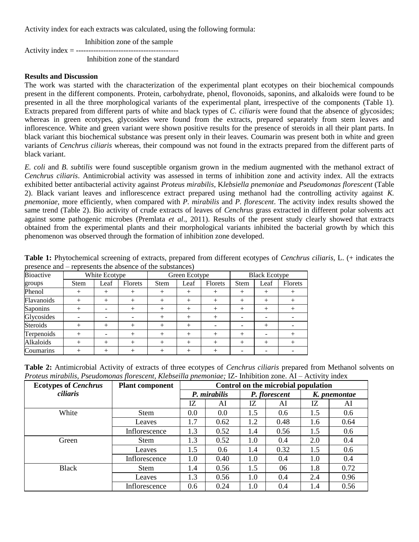Activity index for each extracts was calculated, using the following formula:

Inhibition zone of the sample Activity index = ----------------------------------------- Inhibition zone of the standard

#### **Results and Discussion**

The work was started with the characterization of the experimental plant ecotypes on their biochemical compounds present in the different components. Protein, carbohydrate, phenol, flovonoids, saponins, and alkaloids were found to be presented in all the three morphological variants of the experimental plant, irrespective of the components (Table 1). Extracts prepared from different parts of white and black types of *C. ciliaris* were found that the absence of glycosides; whereas in green ecotypes, glycosides were found from the extracts, prepared separately from stem leaves and inflorescence. White and green variant were shown positive results for the presence of steroids in all their plant parts. In black variant this biochemical substance was present only in their leaves. Coumarin was present both in white and green variants of *Cenchrus ciliaris* whereas, their compound was not found in the extracts prepared from the different parts of black variant.

*E. coli* and *B. subtilis* were found susceptible organism grown in the medium augmented with the methanol extract of *Cenchrus ciliaris*. Antimicrobial activity was assessed in terms of inhibition zone and activity index. All the extracts exhibited better antibacterial activity against *Proteus mirabilis*, K*lebsiella pnemoniae* and *Pseudomonas florescent* (Table 2). Black variant leaves and inflorescence extract prepared using methanol had the controlling activity against *K. pnemoniae,* more efficiently, when compared with *P. mirabilis* and *P. florescent*. The activity index results showed the same trend (Table 2). Bio activity of crude extracts of leaves of *Cenchrus* grass extracted in different polar solvents act against some pathogenic microbes (Premlata *et al*., 2011). Results of the present study clearly showed that extracts obtained from the experimental plants and their morphological variants inhibited the bacterial growth by which this phenomenon was observed through the formation of inhibition zone developed.

| ртовеное ана<br>represents the absence of the substances, |               |        |         |               |        |         |                      |        |         |  |
|-----------------------------------------------------------|---------------|--------|---------|---------------|--------|---------|----------------------|--------|---------|--|
| Bioactive                                                 | White Ecotype |        |         | Green Ecotype |        |         | <b>Black Ecotype</b> |        |         |  |
| groups                                                    | <b>Stem</b>   | Leaf   | Florets | <b>Stem</b>   | Leaf   | Florets | <b>Stem</b>          | Leaf   | Florets |  |
| Phenol                                                    | $^+$          | $^{+}$ |         | $^+$          | $+$    | $^+$    | $^{+}$               | $^{+}$ | $\pm$   |  |
| Flavanoids                                                | $^{+}$        | $^{+}$ | $^{+}$  | $^{+}$        | $+$    | $^{+}$  | $^{+}$               | $+$    | $^{+}$  |  |
| Saponins                                                  | $^{+}$        |        | $^{+}$  | $^+$          | $+$    | $^+$    | $+$                  | $^{+}$ | $^+$    |  |
| Glycosides                                                |               |        |         | ┿             | $\! +$ | ┿       | -                    | -      |         |  |
| Steroids                                                  | $^{+}$        | $^{+}$ |         | $^+$          | $^{+}$ |         |                      | $^{+}$ |         |  |
| Terpenoids                                                | $^{+}$        |        | $^{+}$  | $^{+}$        | $+$    | $^{+}$  | $+$                  |        | $^{+}$  |  |
| Alkaloids                                                 | $^{+}$        | $^{+}$ | $^{+}$  | ┿             | $^{+}$ | $^{+}$  | $+$                  | $+$    | $^{+}$  |  |
| Coumarins                                                 |               |        |         |               | $\! +$ | ┿       |                      |        |         |  |

**Table 1:** Phytochemical screening of extracts, prepared from different ecotypes of *Cenchrus ciliaris*, L. (+ indicates the presence and – represents the absence of the substances)

**Table 2:** Antimicrobial Activity of extracts of three ecotypes of *Cenchrus ciliaris* prepared from Methanol solvents on *Proteus mirabilis, Pseudomonas florescent, Klebseilla pnemoniae;* IZ- Inhibition zone. AI – Activity index

| <b>Ecotypes of Cenchrus</b> | <b>Plant component</b> | Control on the microbial population |      |               |      |              |      |  |
|-----------------------------|------------------------|-------------------------------------|------|---------------|------|--------------|------|--|
| ciliaris                    |                        | P. mirabilis                        |      | P. florescent |      | K. pnemontae |      |  |
|                             |                        | IZ                                  | AI   | IZ            | AI   | IZ           | AI   |  |
| White                       | <b>Stem</b>            | 0.0                                 | 0.0  | 1.5           | 0.6  | 1.5          | 0.6  |  |
|                             | Leaves                 | 1.7                                 | 0.62 | 1.2           | 0.48 | 1.6          | 0.64 |  |
|                             | Inflorescence          | 1.3                                 | 0.52 | 1.4           | 0.56 | 1.5          | 0.6  |  |
| Green                       | <b>Stem</b>            | 1.3                                 | 0.52 | 1.0           | 0.4  | 2.0          | 0.4  |  |
|                             | Leaves                 | 1.5                                 | 0.6  | 1.4           | 0.32 | 1.5          | 0.6  |  |
|                             | Inflorescence          | 1.0                                 | 0.40 | 1.0           | 0.4  | 1.0          | 0.4  |  |
| <b>Black</b>                | <b>Stem</b>            | 1.4                                 | 0.56 | 1.5           | 06   | 1.8          | 0.72 |  |
|                             | Leaves                 | 1.3                                 | 0.56 | 1.0           | 0.4  | 2.4          | 0.96 |  |
|                             | Inflorescence          | 0.6                                 | 0.24 | 1.0           | 0.4  | 1.4          | 0.56 |  |